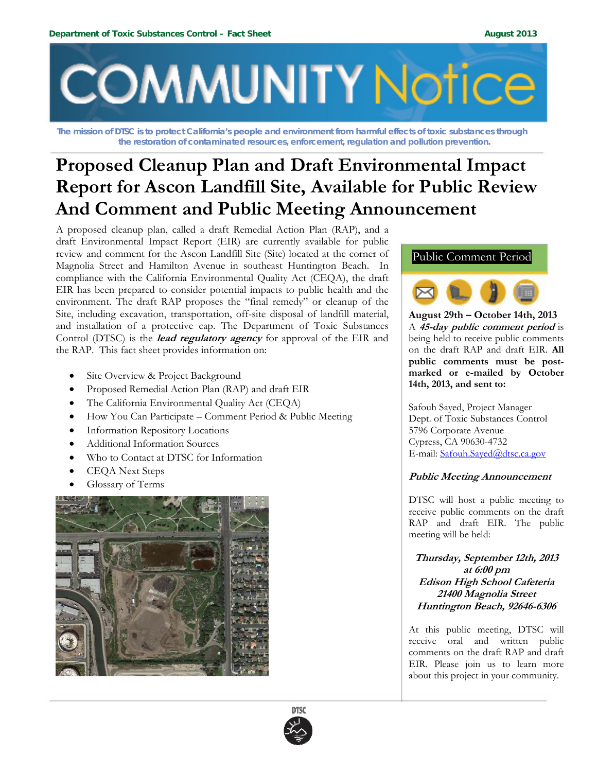

**The mission of DTSC is to protect California's people and environment from harmful effects of toxic substances through the restoration of contaminated resources, enforcement, regulation and pollution prevention.** 

# **Proposed Cleanup Plan and Draft Environmental Impact Report for Ascon Landfill Site, Available for Public Review And Comment and Public Meeting Announcement**

A proposed cleanup plan, called a draft Remedial Action Plan (RAP), and a draft Environmental Impact Report (EIR) are currently available for public review and comment for the Ascon Landfill Site (Site) located at the corner of Magnolia Street and Hamilton Avenue in southeast Huntington Beach. In compliance with the California Environmental Quality Act (CEQA), the draft EIR has been prepared to consider potential impacts to public health and the environment. The draft RAP proposes the "final remedy" or cleanup of the Site, including excavation, transportation, off-site disposal of landfill material, and installation of a protective cap. The Department of Toxic Substances Control (DTSC) is the **lead regulatory agency** for approval of the EIR and the RAP. This fact sheet provides information on:

- Site Overview & Project Background
- Proposed Remedial Action Plan (RAP) and draft EIR
- The California Environmental Quality Act (CEQA)
- How You Can Participate Comment Period & Public Meeting
- **•** Information Repository Locations
- Additional Information Sources
- Who to Contact at DTSC for Information
- CEQA Next Steps
- Glossary of Terms







**August 29th – October 14th, 2013**  A **45-day public comment period** is being held to receive public comments on the draft RAP and draft EIR. **All public comments must be postmarked or e-mailed by October 14th, 2013, and sent to:** 

Safouh Sayed, Project Manager Dept. of Toxic Substances Control 5796 Corporate Avenue Cypress, CA 90630-4732 E-mail: Safouh.Sayed@dtsc.ca.gov

# **Public Meeting Announcement**

DTSC will host a public meeting to receive public comments on the draft RAP and draft EIR. The public meeting will be held:

**Thursday, September 12th, 2013 at 6:00 pm Edison High School Cafeteria 21400 Magnolia Street Huntington Beach, 92646-6306**

At this public meeting, DTSC will receive oral and written public comments on the draft RAP and draft EIR. Please join us to learn more about this project in your community.

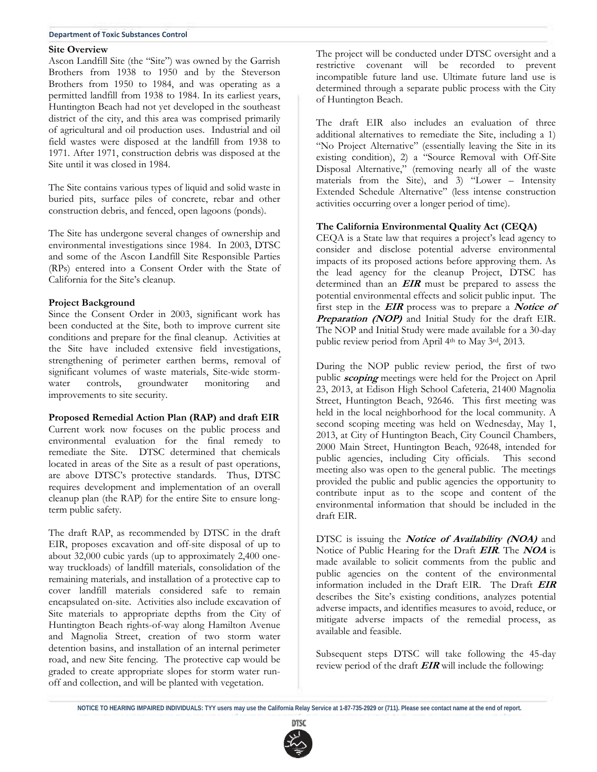#### **Department of Toxic Substances Control**

#### **Site Overview**

Ascon Landfill Site (the "Site") was owned by the Garrish Brothers from 1938 to 1950 and by the Steverson Brothers from 1950 to 1984, and was operating as a permitted landfill from 1938 to 1984. In its earliest years, Huntington Beach had not yet developed in the southeast district of the city, and this area was comprised primarily of agricultural and oil production uses. Industrial and oil field wastes were disposed at the landfill from 1938 to 1971. After 1971, construction debris was disposed at the Site until it was closed in 1984.

The Site contains various types of liquid and solid waste in buried pits, surface piles of concrete, rebar and other construction debris, and fenced, open lagoons (ponds).

The Site has undergone several changes of ownership and environmental investigations since 1984. In 2003, DTSC and some of the Ascon Landfill Site Responsible Parties (RPs) entered into a Consent Order with the State of California for the Site's cleanup.

#### **Project Background**

Since the Consent Order in 2003, significant work has been conducted at the Site, both to improve current site conditions and prepare for the final cleanup. Activities at the Site have included extensive field investigations, strengthening of perimeter earthen berms, removal of significant volumes of waste materials, Site-wide stormwater controls, groundwater monitoring and improvements to site security.

#### **Proposed Remedial Action Plan (RAP) and draft EIR**

Current work now focuses on the public process and environmental evaluation for the final remedy to remediate the Site. DTSC determined that chemicals located in areas of the Site as a result of past operations, are above DTSC's protective standards. Thus, DTSC requires development and implementation of an overall cleanup plan (the RAP) for the entire Site to ensure longterm public safety.

The draft RAP, as recommended by DTSC in the draft EIR, proposes excavation and off-site disposal of up to about 32,000 cubic yards (up to approximately 2,400 oneway truckloads) of landfill materials, consolidation of the remaining materials, and installation of a protective cap to cover landfill materials considered safe to remain encapsulated on-site. Activities also include excavation of Site materials to appropriate depths from the City of Huntington Beach rights-of-way along Hamilton Avenue and Magnolia Street, creation of two storm water detention basins, and installation of an internal perimeter road, and new Site fencing. The protective cap would be graded to create appropriate slopes for storm water runoff and collection, and will be planted with vegetation.

The project will be conducted under DTSC oversight and a restrictive covenant will be recorded to prevent incompatible future land use. Ultimate future land use is determined through a separate public process with the City of Huntington Beach.

The draft EIR also includes an evaluation of three additional alternatives to remediate the Site, including a 1) "No Project Alternative" (essentially leaving the Site in its existing condition), 2) a "Source Removal with Off-Site Disposal Alternative," (removing nearly all of the waste materials from the Site), and 3) "Lower – Intensity Extended Schedule Alternative" (less intense construction activities occurring over a longer period of time).

# **The California Environmental Quality Act (CEQA)**

CEQA is a State law that requires a project's lead agency to consider and disclose potential adverse environmental impacts of its proposed actions before approving them. As the lead agency for the cleanup Project, DTSC has determined than an **EIR** must be prepared to assess the potential environmental effects and solicit public input. The first step in the **EIR** process was to prepare a **Notice of Preparation (NOP)** and Initial Study for the draft EIR. The NOP and Initial Study were made available for a 30-day public review period from April 4th to May 3rd, 2013.

During the NOP public review period, the first of two public **scoping** meetings were held for the Project on April 23, 2013, at Edison High School Cafeteria, 21400 Magnolia Street, Huntington Beach, 92646. This first meeting was held in the local neighborhood for the local community. A second scoping meeting was held on Wednesday, May 1, 2013, at City of Huntington Beach, City Council Chambers, 2000 Main Street, Huntington Beach, 92648, intended for public agencies, including City officials. This second meeting also was open to the general public. The meetings provided the public and public agencies the opportunity to contribute input as to the scope and content of the environmental information that should be included in the draft EIR.

DTSC is issuing the **Notice of Availability (NOA)** and Notice of Public Hearing for the Draft **EIR**. The **NOA** is made available to solicit comments from the public and public agencies on the content of the environmental information included in the Draft EIR. The Draft **EIR** describes the Site's existing conditions, analyzes potential adverse impacts, and identifies measures to avoid, reduce, or mitigate adverse impacts of the remedial process, as available and feasible.

Subsequent steps DTSC will take following the 45-day review period of the draft **EIR** will include the following:

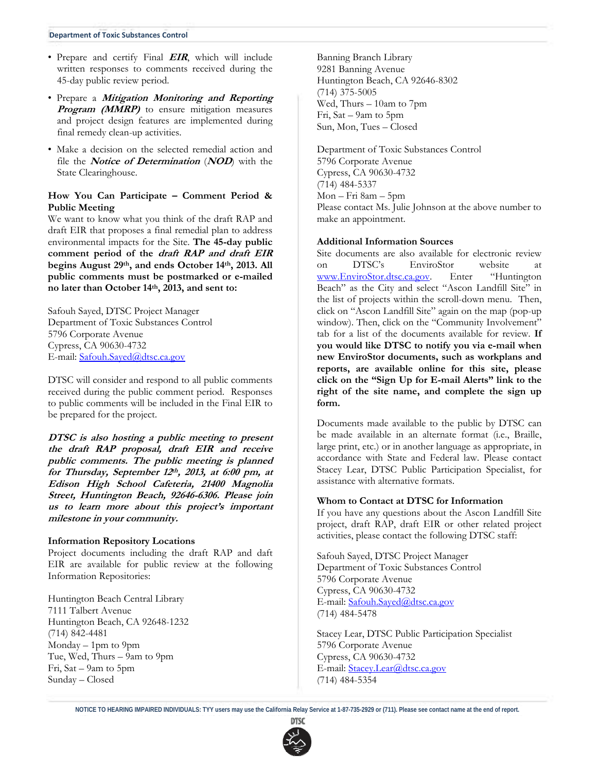#### **Department of Toxic Substances Control**

- Prepare and certify Final **EIR**, which will include written responses to comments received during the 45-day public review period.
- Prepare a **Mitigation Monitoring and Reporting Program (MMRP)** to ensure mitigation measures and project design features are implemented during final remedy clean-up activities.
- Make a decision on the selected remedial action and file the **Notice of Determination** (**NOD**) with the State Clearinghouse.

## **How You Can Participate – Comment Period & Public Meeting**

We want to know what you think of the draft RAP and draft EIR that proposes a final remedial plan to address environmental impacts for the Site. **The 45-day public comment period of the draft RAP and draft EIR begins August 29th, and ends October 14th, 2013. All public comments must be postmarked or e-mailed no later than October 14th, 2013, and sent to:** 

Safouh Sayed, DTSC Project Manager Department of Toxic Substances Control 5796 Corporate Avenue Cypress, CA 90630-4732 E-mail: Safouh.Sayed@dtsc.ca.gov

DTSC will consider and respond to all public comments received during the public comment period. Responses to public comments will be included in the Final EIR to be prepared for the project.

**DTSC is also hosting a public meeting to present the draft RAP proposal, draft EIR and receive public comments. The public meeting is planned for Thursday, September 12th, 2013, at 6:00 pm, at Edison High School Cafeteria, 21400 Magnolia Street, Huntington Beach, 92646-6306. Please join us to learn more about this project's important milestone in your community.** 

#### **Information Repository Locations**

Project documents including the draft RAP and daft EIR are available for public review at the following Information Repositories:

Huntington Beach Central Library 7111 Talbert Avenue Huntington Beach, CA 92648-1232 (714) 842-4481 Monday – 1pm to 9pm Tue, Wed, Thurs – 9am to 9pm Fri, Sat – 9am to 5pm Sunday – Closed

Banning Branch Library 9281 Banning Avenue Huntington Beach, CA 92646-8302 (714) 375-5005 Wed, Thurs – 10am to 7pm Fri, Sat – 9am to 5pm Sun, Mon, Tues – Closed

Department of Toxic Substances Control 5796 Corporate Avenue Cypress, CA 90630-4732 (714) 484-5337 Mon – Fri 8am – 5pm Please contact Ms. Julie Johnson at the above number to make an appointment.

### **Additional Information Sources**

Site documents are also available for electronic review on DTSC's EnviroStor website www.EnviroStor.dtsc.ca.gov. Enter "Huntington Beach" as the City and select "Ascon Landfill Site" in the list of projects within the scroll-down menu. Then, click on "Ascon Landfill Site" again on the map (pop-up window). Then, click on the "Community Involvement" tab for a list of the documents available for review. **If you would like DTSC to notify you via e-mail when new EnviroStor documents, such as workplans and reports, are available online for this site, please click on the "Sign Up for E-mail Alerts" link to the right of the site name, and complete the sign up form.**

Documents made available to the public by DTSC can be made available in an alternate format (i.e., Braille, large print, etc.) or in another language as appropriate, in accordance with State and Federal law. Please contact Stacey Lear, DTSC Public Participation Specialist, for assistance with alternative formats.

## **Whom to Contact at DTSC for Information**

If you have any questions about the Ascon Landfill Site project, draft RAP, draft EIR or other related project activities, please contact the following DTSC staff:

Safouh Sayed, DTSC Project Manager Department of Toxic Substances Control 5796 Corporate Avenue Cypress, CA 90630-4732 E-mail: Safouh.Sayed@dtsc.ca.gov (714) 484-5478

Stacey Lear, DTSC Public Participation Specialist 5796 Corporate Avenue Cypress, CA 90630-4732 E-mail: Stacey.Lear@dtsc.ca.gov (714) 484-5354

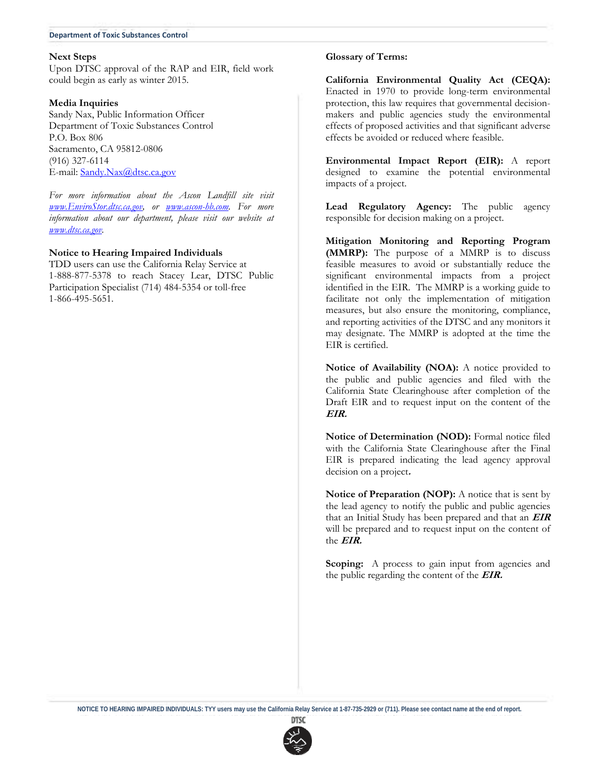#### **Department of Toxic Substances Control**

#### **Next Steps**

Upon DTSC approval of the RAP and EIR, field work could begin as early as winter 2015.

#### **Media Inquiries**

Sandy Nax, Public Information Officer Department of Toxic Substances Control P.O. Box 806 Sacramento, CA 95812-0806 (916) 327-6114 E-mail: Sandy.Nax@dtsc.ca.gov

*For more information about the Ascon Landfill site visit www.EnviroStor.dtsc.ca.gov, or www.ascon-hb.com. For more information about our department, please visit our website at www.dtsc.ca.gov.* 

### **Notice to Hearing Impaired Individuals**

TDD users can use the California Relay Service at 1-888-877-5378 to reach Stacey Lear, DTSC Public Participation Specialist (714) 484-5354 or toll-free 1-866-495-5651.

#### **Glossary of Terms:**

**California Environmental Quality Act (CEQA):**  Enacted in 1970 to provide long-term environmental protection, this law requires that governmental decisionmakers and public agencies study the environmental effects of proposed activities and that significant adverse effects be avoided or reduced where feasible.

**Environmental Impact Report (EIR):** A report designed to examine the potential environmental impacts of a project.

**Lead Regulatory Agency:** The public agency responsible for decision making on a project.

**Mitigation Monitoring and Reporting Program (MMRP):** The purpose of a MMRP is to discuss feasible measures to avoid or substantially reduce the significant environmental impacts from a project identified in the EIR. The MMRP is a working guide to facilitate not only the implementation of mitigation measures, but also ensure the monitoring, compliance, and reporting activities of the DTSC and any monitors it may designate. The MMRP is adopted at the time the EIR is certified.

**Notice of Availability (NOA):** A notice provided to the public and public agencies and filed with the California State Clearinghouse after completion of the Draft EIR and to request input on the content of the **EIR.** 

**Notice of Determination (NOD):** Formal notice filed with the California State Clearinghouse after the Final EIR is prepared indicating the lead agency approval decision on a project**.**

**Notice of Preparation (NOP):** A notice that is sent by the lead agency to notify the public and public agencies that an Initial Study has been prepared and that an **EIR**  will be prepared and to request input on the content of the **EIR.**

**Scoping:** A process to gain input from agencies and the public regarding the content of the **EIR.**